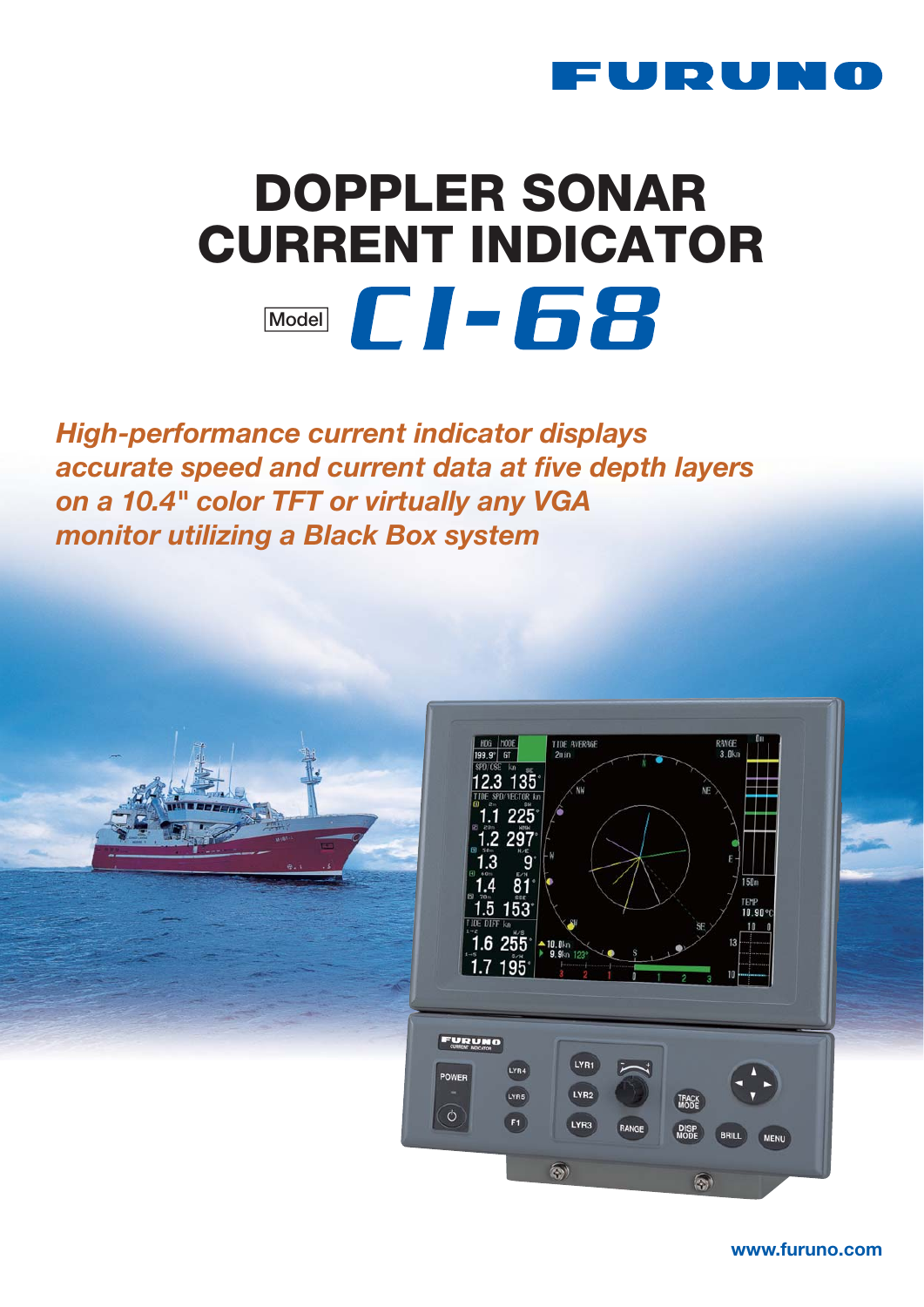

# **DOPPLER SONAR CURRENT INDICATOR Model**  $\Box$   $\Box$   $\Box$   $\Box$

*High-performance current indicator displays accurate speed and current data at five depth layers on a 10.4" color TFT or virtually any VGA monitor utilizing a Black Box system*



**www.furuno.com**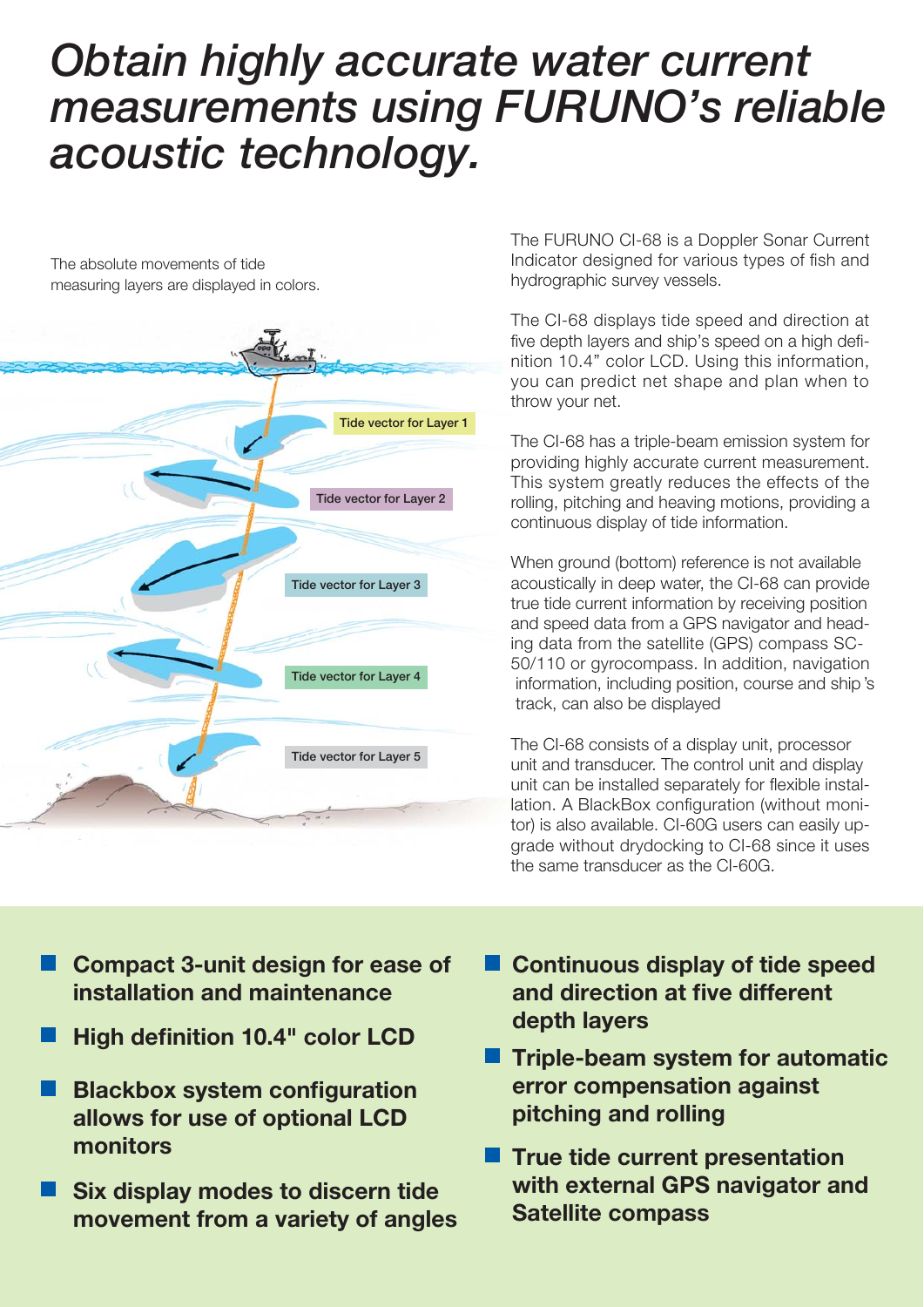# *Obtain highly accurate water current* acoustic technology. *acoustic technology.*

The absolute movements of tide measuring layers are displayed in colors.



The FURUNO CI-68 is a Doppler Sonar Current Indicator designed for various types of fish and hydrographic survey vessels.

The CI-68 displays tide speed and direction at five depth layers and ship's speed on a high definition 10.4" color LCD. Using this information, you can predict net shape and plan when to throw your net.

The CI-68 has a triple-beam emission system for providing highly accurate current measurement. This system greatly reduces the effects of the rolling, pitching and heaving motions, providing a continuous display of tide information.

When ground (bottom) reference is not available acoustically in deep water, the CI-68 can provide true tide current information by receiving position and speed data from a GPS navigator and heading data from the satellite (GPS) compass SC-50/110 or gyrocompass. In addition, navigation information, including position, course and ship 's track, can also be displayed

The CI-68 consists of a display unit, processor unit and transducer. The control unit and display unit can be installed separately for flexible installation. A BlackBox configuration (without monitor) is also available. CI-60G users can easily upgrade without drydocking to CI-68 since it uses the same transducer as the CI-60G.

- **Compact 3-unit design for ease of installation and maintenance**
- **High definition 10.4" color LCD**
- **Blackbox system configuration allows for use of optional LCD monitors**
- **Six display modes to discern tide movement from a variety of angles**
- **Continuous display of tide speed and direction at five different depth layers**
- **Triple-beam system for automatic error compensation against pitching and rolling**
- **True tide current presentation with external GPS navigator and Satellite compass**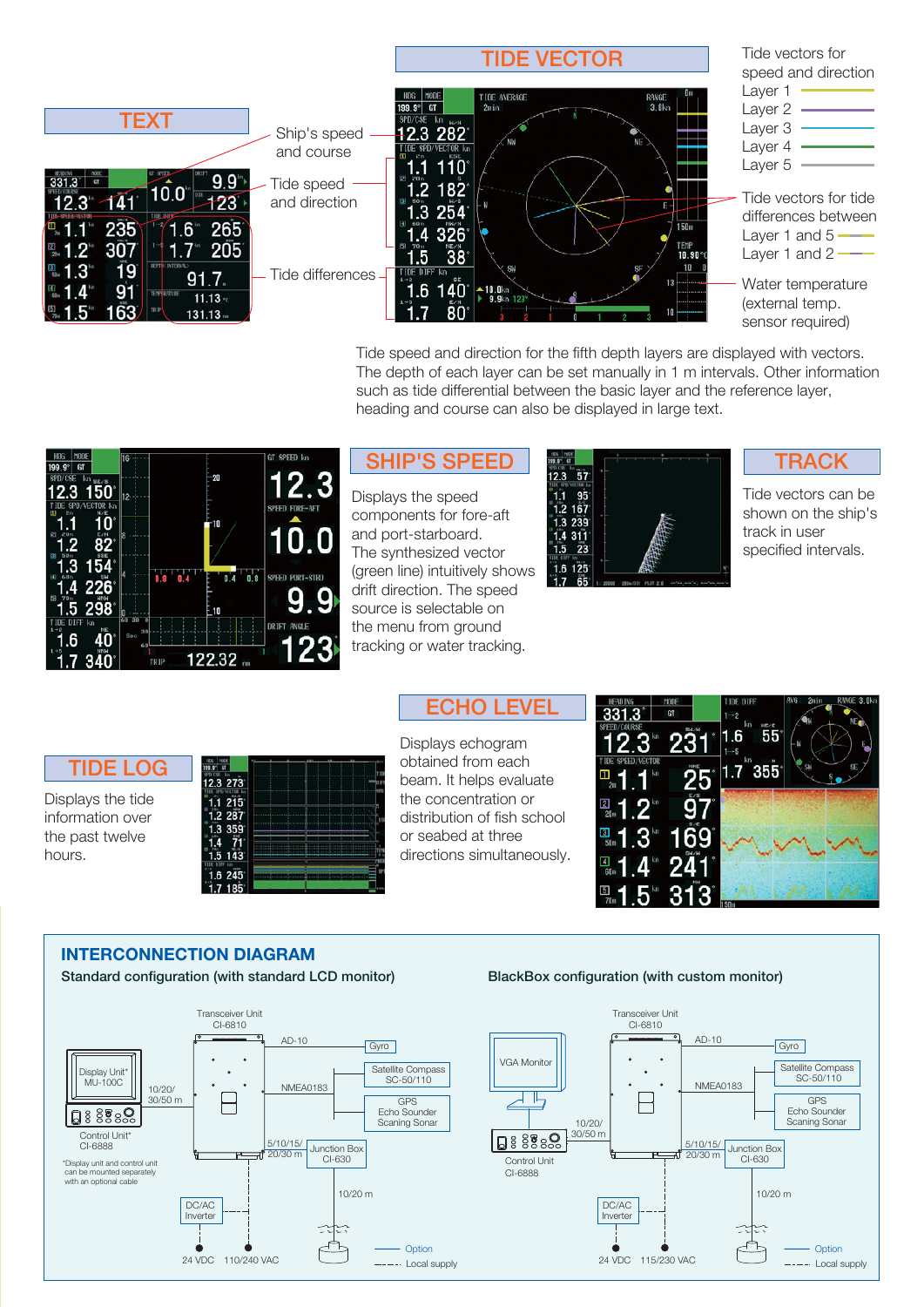

Tide speed and direction for the fifth depth layers are displayed with vectors. The depth of each layer can be set manually in 1 m intervals. Other information such as tide differential between the basic layer and the reference layer, heading and course can also be displayed in large text.

| MODE<br>HDG<br>199.9°<br>6T                            | ĥ                           | GT SPEED kn     |
|--------------------------------------------------------|-----------------------------|-----------------|
| SPD/CSE<br>$\mathsf{kn}_{\mathsf{SE}/\mathsf{B}}$      | 20                          | 12.3            |
| 5                                                      | 12                          |                 |
| /VECTOR kn<br>ω                                        |                             | SPEED FORE-AFT  |
| EN.<br>20m                                             | -10<br>k                    |                 |
|                                                        |                             | 10.0            |
| B<br>3                                                 |                             |                 |
| H<br>6.0 <sub>m</sub>                                  | i8<br>0<br>O<br>0.8         | SPEED PORT-STBD |
| $226^\circ$<br>4<br>田<br>70 <sub>m</sub><br><b>HNH</b> |                             |                 |
| 298<br>5                                               | 210                         |                 |
| DIFF kn<br>NE                                          | -30<br>ਨਰ<br>$\blacksquare$ | DRIFT ANGLE     |
| 6                                                      | S <sub>0</sub><br>60        | 23 <sub>o</sub> |
| NNM<br>з                                               | $122.32$ m<br>TRIP          |                 |

## **SHIP'S SPEED**

Displays the speed components for fore-aft and port-starboard. The synthesized vector (green line) intuitively shows drift direction. The speed source is selectable on the menu from ground tracking or water tracking.



**TRACK**

Tide vectors can be shown on the ship's track in user specified intervals.

# **TIDE LOG**

Displays the tide information over the past twelve hours.



**ECHO LEVEL**

Displays echogram obtained from each beam. It helps evaluate the concentration or distribution of fish school or seabed at three directions simultaneously.



### **INTERCONNECTION DIAGRAM**

**Standard configuration (with standard LCD monitor)**

#### **BlackBox configuration (with custom monitor)**